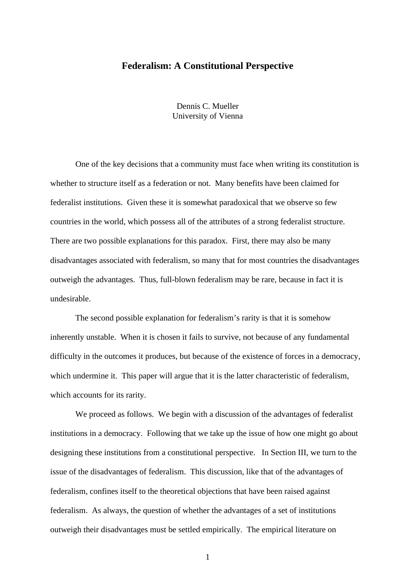# **Federalism: A Constitutional Perspective**

Dennis C. Mueller University of Vienna

One of the key decisions that a community must face when writing its constitution is whether to structure itself as a federation or not. Many benefits have been claimed for federalist institutions. Given these it is somewhat paradoxical that we observe so few countries in the world, which possess all of the attributes of a strong federalist structure. There are two possible explanations for this paradox. First, there may also be many disadvantages associated with federalism, so many that for most countries the disadvantages outweigh the advantages. Thus, full-blown federalism may be rare, because in fact it is undesirable.

The second possible explanation for federalism's rarity is that it is somehow inherently unstable. When it is chosen it fails to survive, not because of any fundamental difficulty in the outcomes it produces, but because of the existence of forces in a democracy, which undermine it. This paper will argue that it is the latter characteristic of federalism, which accounts for its rarity.

We proceed as follows. We begin with a discussion of the advantages of federalist institutions in a democracy. Following that we take up the issue of how one might go about designing these institutions from a constitutional perspective. In Section III, we turn to the issue of the disadvantages of federalism. This discussion, like that of the advantages of federalism, confines itself to the theoretical objections that have been raised against federalism. As always, the question of whether the advantages of a set of institutions outweigh their disadvantages must be settled empirically. The empirical literature on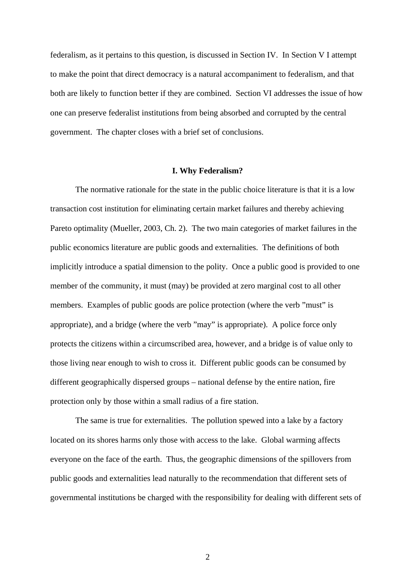federalism, as it pertains to this question, is discussed in Section IV. In Section V I attempt to make the point that direct democracy is a natural accompaniment to federalism, and that both are likely to function better if they are combined. Section VI addresses the issue of how one can preserve federalist institutions from being absorbed and corrupted by the central government. The chapter closes with a brief set of conclusions.

#### **I. Why Federalism?**

The normative rationale for the state in the public choice literature is that it is a low transaction cost institution for eliminating certain market failures and thereby achieving Pareto optimality (Mueller, 2003, Ch. 2). The two main categories of market failures in the public economics literature are public goods and externalities. The definitions of both implicitly introduce a spatial dimension to the polity. Once a public good is provided to one member of the community, it must (may) be provided at zero marginal cost to all other members. Examples of public goods are police protection (where the verb "must" is appropriate), and a bridge (where the verb "may" is appropriate). A police force only protects the citizens within a circumscribed area, however, and a bridge is of value only to those living near enough to wish to cross it. Different public goods can be consumed by different geographically dispersed groups – national defense by the entire nation, fire protection only by those within a small radius of a fire station.

The same is true for externalities. The pollution spewed into a lake by a factory located on its shores harms only those with access to the lake. Global warming affects everyone on the face of the earth. Thus, the geographic dimensions of the spillovers from public goods and externalities lead naturally to the recommendation that different sets of governmental institutions be charged with the responsibility for dealing with different sets of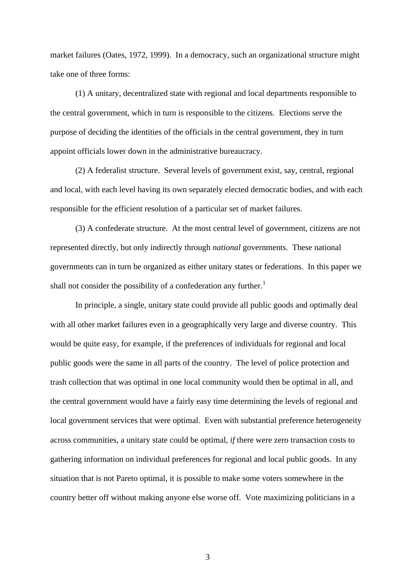market failures (Oates, 1972, 1999). In a democracy, such an organizational structure might take one of three forms:

(1) A unitary, decentralized state with regional and local departments responsible to the central government, which in turn is responsible to the citizens. Elections serve the purpose of deciding the identities of the officials in the central government, they in turn appoint officials lower down in the administrative bureaucracy.

(2) A federalist structure. Several levels of government exist, say, central, regional and local, with each level having its own separately elected democratic bodies, and with each responsible for the efficient resolution of a particular set of market failures.

(3) A confederate structure. At the most central level of government, citizens are not represented directly, but only indirectly through *national* governments. These national governments can in turn be organized as either unitary states or federations. In this paper we shall not consider the possibility of a confederation any further.<sup>1</sup>

In principle, a single, unitary state could provide all public goods and optimally deal with all other market failures even in a geographically very large and diverse country. This would be quite easy, for example, if the preferences of individuals for regional and local public goods were the same in all parts of the country. The level of police protection and trash collection that was optimal in one local community would then be optimal in all, and the central government would have a fairly easy time determining the levels of regional and local government services that were optimal. Even with substantial preference heterogeneity across communities, a unitary state could be optimal, *if* there were zero transaction costs to gathering information on individual preferences for regional and local public goods. In any situation that is not Pareto optimal, it is possible to make some voters somewhere in the country better off without making anyone else worse off. Vote maximizing politicians in a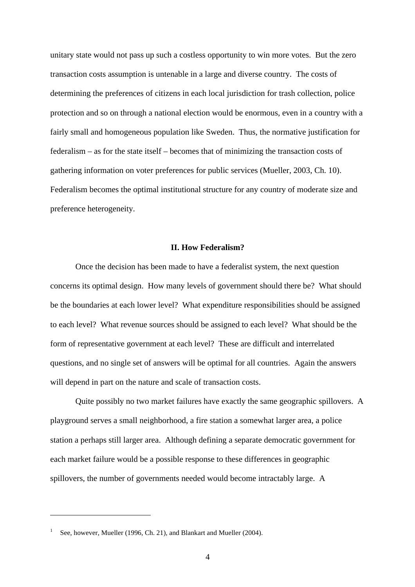unitary state would not pass up such a costless opportunity to win more votes. But the zero transaction costs assumption is untenable in a large and diverse country. The costs of determining the preferences of citizens in each local jurisdiction for trash collection, police protection and so on through a national election would be enormous, even in a country with a fairly small and homogeneous population like Sweden. Thus, the normative justification for federalism – as for the state itself – becomes that of minimizing the transaction costs of gathering information on voter preferences for public services (Mueller, 2003, Ch. 10). Federalism becomes the optimal institutional structure for any country of moderate size and preference heterogeneity.

## **II. How Federalism?**

Once the decision has been made to have a federalist system, the next question concerns its optimal design. How many levels of government should there be? What should be the boundaries at each lower level? What expenditure responsibilities should be assigned to each level? What revenue sources should be assigned to each level? What should be the form of representative government at each level? These are difficult and interrelated questions, and no single set of answers will be optimal for all countries. Again the answers will depend in part on the nature and scale of transaction costs.

Quite possibly no two market failures have exactly the same geographic spillovers. A playground serves a small neighborhood, a fire station a somewhat larger area, a police station a perhaps still larger area. Although defining a separate democratic government for each market failure would be a possible response to these differences in geographic spillovers, the number of governments needed would become intractably large. A

<sup>1</sup> See, however, Mueller (1996, Ch. 21), and Blankart and Mueller (2004).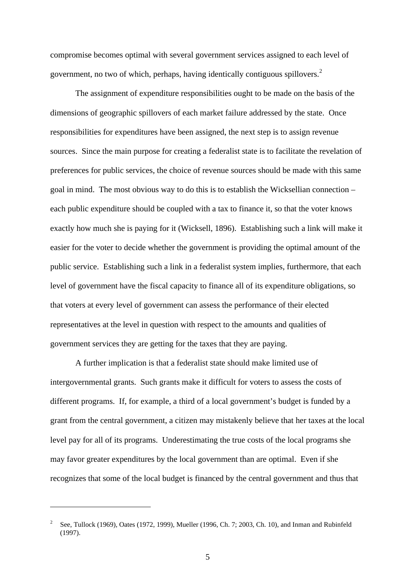compromise becomes optimal with several government services assigned to each level of government, no two of which, perhaps, having identically contiguous spillovers.<sup>2</sup>

The assignment of expenditure responsibilities ought to be made on the basis of the dimensions of geographic spillovers of each market failure addressed by the state. Once responsibilities for expenditures have been assigned, the next step is to assign revenue sources. Since the main purpose for creating a federalist state is to facilitate the revelation of preferences for public services, the choice of revenue sources should be made with this same goal in mind. The most obvious way to do this is to establish the Wicksellian connection – each public expenditure should be coupled with a tax to finance it, so that the voter knows exactly how much she is paying for it (Wicksell, 1896). Establishing such a link will make it easier for the voter to decide whether the government is providing the optimal amount of the public service. Establishing such a link in a federalist system implies, furthermore, that each level of government have the fiscal capacity to finance all of its expenditure obligations, so that voters at every level of government can assess the performance of their elected representatives at the level in question with respect to the amounts and qualities of government services they are getting for the taxes that they are paying.

A further implication is that a federalist state should make limited use of intergovernmental grants. Such grants make it difficult for voters to assess the costs of different programs. If, for example, a third of a local government's budget is funded by a grant from the central government, a citizen may mistakenly believe that her taxes at the local level pay for all of its programs. Underestimating the true costs of the local programs she may favor greater expenditures by the local government than are optimal. Even if she recognizes that some of the local budget is financed by the central government and thus that

<sup>2</sup> See, Tullock (1969), Oates (1972, 1999), Mueller (1996, Ch. 7; 2003, Ch. 10), and Inman and Rubinfeld (1997).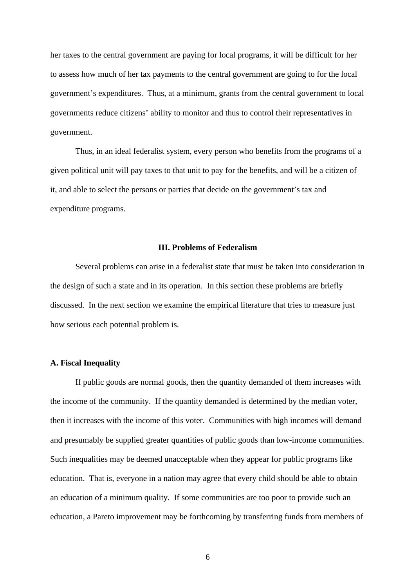her taxes to the central government are paying for local programs, it will be difficult for her to assess how much of her tax payments to the central government are going to for the local government's expenditures. Thus, at a minimum, grants from the central government to local governments reduce citizens' ability to monitor and thus to control their representatives in government.

Thus, in an ideal federalist system, every person who benefits from the programs of a given political unit will pay taxes to that unit to pay for the benefits, and will be a citizen of it, and able to select the persons or parties that decide on the government's tax and expenditure programs.

## **III. Problems of Federalism**

Several problems can arise in a federalist state that must be taken into consideration in the design of such a state and in its operation. In this section these problems are briefly discussed. In the next section we examine the empirical literature that tries to measure just how serious each potential problem is.

# **A. Fiscal Inequality**

If public goods are normal goods, then the quantity demanded of them increases with the income of the community. If the quantity demanded is determined by the median voter, then it increases with the income of this voter. Communities with high incomes will demand and presumably be supplied greater quantities of public goods than low-income communities. Such inequalities may be deemed unacceptable when they appear for public programs like education. That is, everyone in a nation may agree that every child should be able to obtain an education of a minimum quality. If some communities are too poor to provide such an education, a Pareto improvement may be forthcoming by transferring funds from members of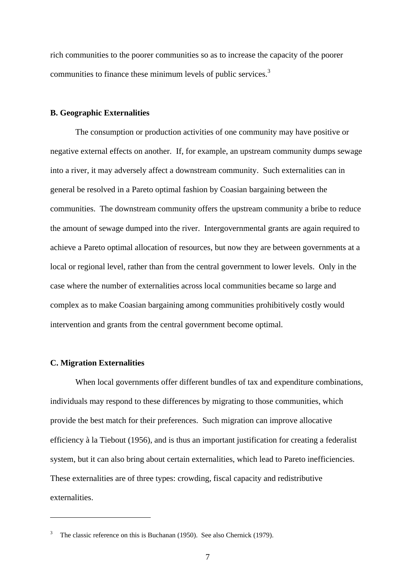rich communities to the poorer communities so as to increase the capacity of the poorer communities to finance these minimum levels of public services.<sup>3</sup>

## **B. Geographic Externalities**

The consumption or production activities of one community may have positive or negative external effects on another. If, for example, an upstream community dumps sewage into a river, it may adversely affect a downstream community. Such externalities can in general be resolved in a Pareto optimal fashion by Coasian bargaining between the communities. The downstream community offers the upstream community a bribe to reduce the amount of sewage dumped into the river. Intergovernmental grants are again required to achieve a Pareto optimal allocation of resources, but now they are between governments at a local or regional level, rather than from the central government to lower levels. Only in the case where the number of externalities across local communities became so large and complex as to make Coasian bargaining among communities prohibitively costly would intervention and grants from the central government become optimal.

# **C. Migration Externalities**

 $\overline{a}$ 

When local governments offer different bundles of tax and expenditure combinations, individuals may respond to these differences by migrating to those communities, which provide the best match for their preferences. Such migration can improve allocative efficiency à la Tiebout (1956), and is thus an important justification for creating a federalist system, but it can also bring about certain externalities, which lead to Pareto inefficiencies. These externalities are of three types: crowding, fiscal capacity and redistributive externalities.

The classic reference on this is Buchanan (1950). See also Chernick (1979).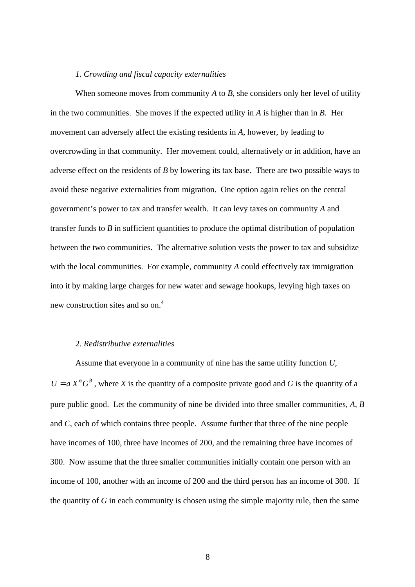## *1. Crowding and fiscal capacity externalities*

When someone moves from community *A* to *B*, she considers only her level of utility in the two communities. She moves if the expected utility in *A* is higher than in *B*. Her movement can adversely affect the existing residents in *A*, however, by leading to overcrowding in that community. Her movement could, alternatively or in addition, have an adverse effect on the residents of *B* by lowering its tax base. There are two possible ways to avoid these negative externalities from migration. One option again relies on the central government's power to tax and transfer wealth. It can levy taxes on community *A* and transfer funds to *B* in sufficient quantities to produce the optimal distribution of population between the two communities. The alternative solution vests the power to tax and subsidize with the local communities. For example, community *A* could effectively tax immigration into it by making large charges for new water and sewage hookups, levying high taxes on new construction sites and so on.<sup>4</sup>

## 2. *Redistributive externalities*

Assume that everyone in a community of nine has the same utility function *U*,  $U = a X^a G^b$ , where *X* is the quantity of a composite private good and *G* is the quantity of a pure public good. Let the community of nine be divided into three smaller communities, *A*, *B* and *C*, each of which contains three people. Assume further that three of the nine people have incomes of 100, three have incomes of 200, and the remaining three have incomes of 300. Now assume that the three smaller communities initially contain one person with an income of 100, another with an income of 200 and the third person has an income of 300. If the quantity of *G* in each community is chosen using the simple majority rule, then the same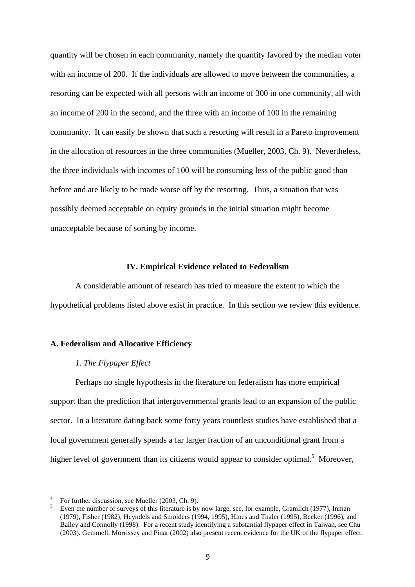quantity will be chosen in each community, namely the quantity favored by the median voter with an income of 200. If the individuals are allowed to move between the communities, a resorting can be expected with all persons with an income of 300 in one community, all with an income of 200 in the second, and the three with an income of 100 in the remaining community. It can easily be shown that such a resorting will result in a Pareto improvement in the allocation of resources in the three communities (Mueller, 2003, Ch. 9). Nevertheless, the three individuals with incomes of 100 will be consuming less of the public good than before and are likely to be made worse off by the resorting. Thus, a situation that was possibly deemed acceptable on equity grounds in the initial situation might become unacceptable because of sorting by income.

## **IV. Empirical Evidence related to Federalism**

A considerable amount of research has tried to measure the extent to which the hypothetical problems listed above exist in practice. In this section we review this evidence.

## **A. Federalism and Allocative Efficiency**

### *1. The Flypaper Effect*

Perhaps no single hypothesis in the literature on federalism has more empirical support than the prediction that intergovernmental grants lead to an expansion of the public sector. In a literature dating back some forty years countless studies have established that a local government generally spends a far larger fraction of an unconditional grant from a higher level of government than its citizens would appear to consider optimal.<sup>5</sup> Moreover,

<sup>&</sup>lt;sup>4</sup> For further discussion, see Mueller (2003, Ch. 9).

<sup>5</sup> Even the number of surveys of this literature is by now large, see, for example, Gramlich (1977), Inman (1979), Fisher (1982), Heyndels and Smolders (1994, 1995), Hines and Thaler (1995), Becker (1996), and Bailey and Connolly (1998). For a recent study identifying a substantial flypaper effect in Taiwan, see Chu (2003). Gemmell, Morrissey and Pinar (2002) also present recent evidence for the UK of the flypaper effect.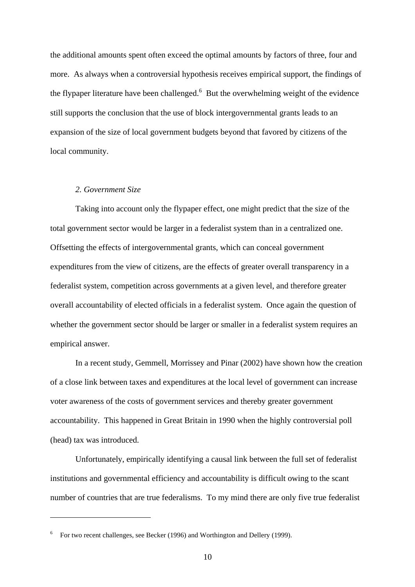the additional amounts spent often exceed the optimal amounts by factors of three, four and more. As always when a controversial hypothesis receives empirical support, the findings of the flypaper literature have been challenged. $6$  But the overwhelming weight of the evidence still supports the conclusion that the use of block intergovernmental grants leads to an expansion of the size of local government budgets beyond that favored by citizens of the local community.

### *2. Government Size*

 $\overline{a}$ 

Taking into account only the flypaper effect, one might predict that the size of the total government sector would be larger in a federalist system than in a centralized one. Offsetting the effects of intergovernmental grants, which can conceal government expenditures from the view of citizens, are the effects of greater overall transparency in a federalist system, competition across governments at a given level, and therefore greater overall accountability of elected officials in a federalist system. Once again the question of whether the government sector should be larger or smaller in a federalist system requires an empirical answer.

In a recent study, Gemmell, Morrissey and Pinar (2002) have shown how the creation of a close link between taxes and expenditures at the local level of government can increase voter awareness of the costs of government services and thereby greater government accountability. This happened in Great Britain in 1990 when the highly controversial poll (head) tax was introduced.

Unfortunately, empirically identifying a causal link between the full set of federalist institutions and governmental efficiency and accountability is difficult owing to the scant number of countries that are true federalisms. To my mind there are only five true federalist

<sup>6</sup> For two recent challenges, see Becker (1996) and Worthington and Dellery (1999).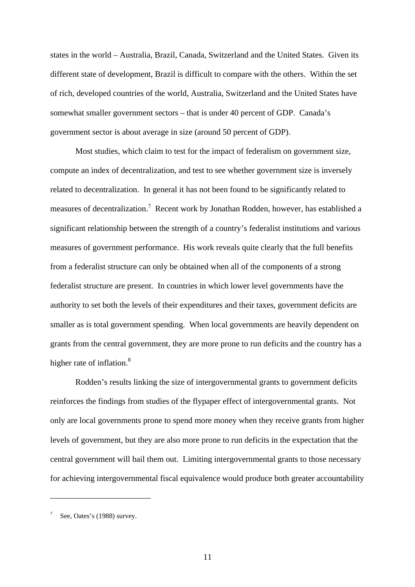states in the world – Australia, Brazil, Canada, Switzerland and the United States. Given its different state of development, Brazil is difficult to compare with the others. Within the set of rich, developed countries of the world, Australia, Switzerland and the United States have somewhat smaller government sectors – that is under 40 percent of GDP. Canada's government sector is about average in size (around 50 percent of GDP).

Most studies, which claim to test for the impact of federalism on government size, compute an index of decentralization, and test to see whether government size is inversely related to decentralization. In general it has not been found to be significantly related to measures of decentralization.<sup>7</sup> Recent work by Jonathan Rodden, however, has established a significant relationship between the strength of a country's federalist institutions and various measures of government performance. His work reveals quite clearly that the full benefits from a federalist structure can only be obtained when all of the components of a strong federalist structure are present. In countries in which lower level governments have the authority to set both the levels of their expenditures and their taxes, government deficits are smaller as is total government spending. When local governments are heavily dependent on grants from the central government, they are more prone to run deficits and the country has a higher rate of inflation.<sup>8</sup>

Rodden's results linking the size of intergovernmental grants to government deficits reinforces the findings from studies of the flypaper effect of intergovernmental grants. Not only are local governments prone to spend more money when they receive grants from higher levels of government, but they are also more prone to run deficits in the expectation that the central government will bail them out. Limiting intergovernmental grants to those necessary for achieving intergovernmental fiscal equivalence would produce both greater accountability

<sup>7</sup> See, Oates's (1988) survey.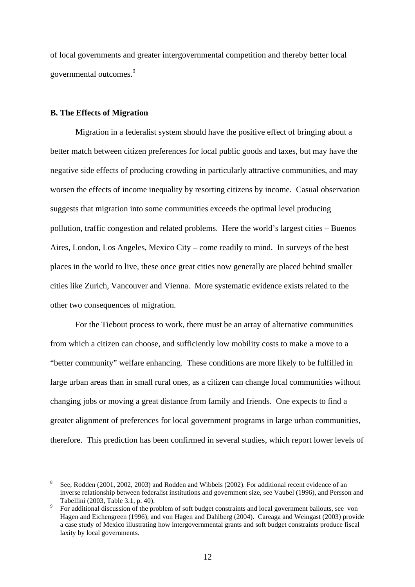of local governments and greater intergovernmental competition and thereby better local governmental outcomes.<sup>9</sup>

## **B. The Effects of Migration**

 $\overline{a}$ 

Migration in a federalist system should have the positive effect of bringing about a better match between citizen preferences for local public goods and taxes, but may have the negative side effects of producing crowding in particularly attractive communities, and may worsen the effects of income inequality by resorting citizens by income. Casual observation suggests that migration into some communities exceeds the optimal level producing pollution, traffic congestion and related problems. Here the world's largest cities – Buenos Aires, London, Los Angeles, Mexico City – come readily to mind. In surveys of the best places in the world to live, these once great cities now generally are placed behind smaller cities like Zurich, Vancouver and Vienna. More systematic evidence exists related to the other two consequences of migration.

For the Tiebout process to work, there must be an array of alternative communities from which a citizen can choose, and sufficiently low mobility costs to make a move to a "better community" welfare enhancing. These conditions are more likely to be fulfilled in large urban areas than in small rural ones, as a citizen can change local communities without changing jobs or moving a great distance from family and friends. One expects to find a greater alignment of preferences for local government programs in large urban communities, therefore. This prediction has been confirmed in several studies, which report lower levels of

<sup>8</sup> See, Rodden (2001, 2002, 2003) and Rodden and Wibbels (2002). For additional recent evidence of an inverse relationship between federalist institutions and government size, see Vaubel (1996), and Persson and Tabellini (2003, Table 3.1, p. 40).

<sup>9</sup> For additional discussion of the problem of soft budget constraints and local government bailouts, see von Hagen and Eichengreen (1996), and von Hagen and Dahlberg (2004). Careaga and Weingast (2003) provide a case study of Mexico illustrating how intergovernmental grants and soft budget constraints produce fiscal laxity by local governments.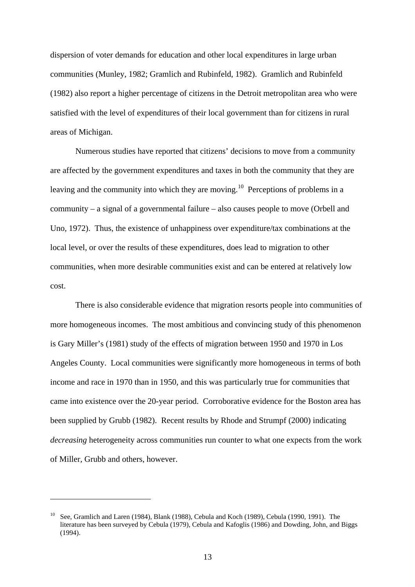dispersion of voter demands for education and other local expenditures in large urban communities (Munley, 1982; Gramlich and Rubinfeld, 1982). Gramlich and Rubinfeld (1982) also report a higher percentage of citizens in the Detroit metropolitan area who were satisfied with the level of expenditures of their local government than for citizens in rural areas of Michigan.

Numerous studies have reported that citizens' decisions to move from a community are affected by the government expenditures and taxes in both the community that they are leaving and the community into which they are moving.<sup>10</sup> Perceptions of problems in a community – a signal of a governmental failure – also causes people to move (Orbell and Uno, 1972). Thus, the existence of unhappiness over expenditure/tax combinations at the local level, or over the results of these expenditures, does lead to migration to other communities, when more desirable communities exist and can be entered at relatively low cost.

There is also considerable evidence that migration resorts people into communities of more homogeneous incomes. The most ambitious and convincing study of this phenomenon is Gary Miller's (1981) study of the effects of migration between 1950 and 1970 in Los Angeles County. Local communities were significantly more homogeneous in terms of both income and race in 1970 than in 1950, and this was particularly true for communities that came into existence over the 20-year period. Corroborative evidence for the Boston area has been supplied by Grubb (1982). Recent results by Rhode and Strumpf (2000) indicating *decreasing* heterogeneity across communities run counter to what one expects from the work of Miller, Grubb and others, however.

<sup>&</sup>lt;sup>10</sup> See, Gramlich and Laren (1984), Blank (1988), Cebula and Koch (1989), Cebula (1990, 1991). The literature has been surveyed by Cebula (1979), Cebula and Kafoglis (1986) and Dowding, John, and Biggs (1994).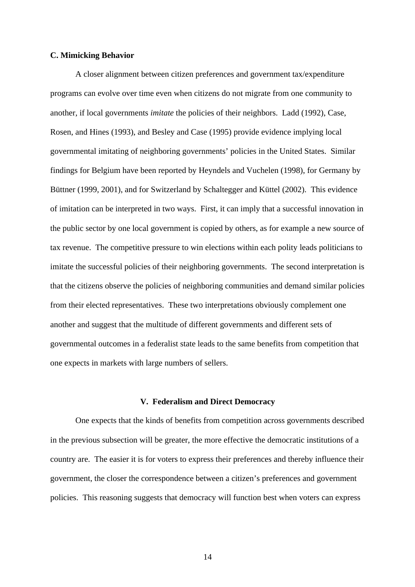## **C. Mimicking Behavior**

A closer alignment between citizen preferences and government tax/expenditure programs can evolve over time even when citizens do not migrate from one community to another, if local governments *imitate* the policies of their neighbors. Ladd (1992), Case, Rosen, and Hines (1993), and Besley and Case (1995) provide evidence implying local governmental imitating of neighboring governments' policies in the United States. Similar findings for Belgium have been reported by Heyndels and Vuchelen (1998), for Germany by Büttner (1999, 2001), and for Switzerland by Schaltegger and Küttel (2002). This evidence of imitation can be interpreted in two ways. First, it can imply that a successful innovation in the public sector by one local government is copied by others, as for example a new source of tax revenue. The competitive pressure to win elections within each polity leads politicians to imitate the successful policies of their neighboring governments. The second interpretation is that the citizens observe the policies of neighboring communities and demand similar policies from their elected representatives. These two interpretations obviously complement one another and suggest that the multitude of different governments and different sets of governmental outcomes in a federalist state leads to the same benefits from competition that one expects in markets with large numbers of sellers.

#### **V. Federalism and Direct Democracy**

One expects that the kinds of benefits from competition across governments described in the previous subsection will be greater, the more effective the democratic institutions of a country are. The easier it is for voters to express their preferences and thereby influence their government, the closer the correspondence between a citizen's preferences and government policies. This reasoning suggests that democracy will function best when voters can express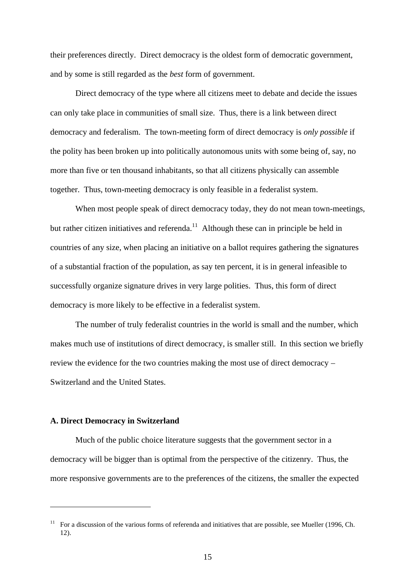their preferences directly. Direct democracy is the oldest form of democratic government, and by some is still regarded as the *best* form of government.

Direct democracy of the type where all citizens meet to debate and decide the issues can only take place in communities of small size. Thus, there is a link between direct democracy and federalism. The town-meeting form of direct democracy is *only possible* if the polity has been broken up into politically autonomous units with some being of, say, no more than five or ten thousand inhabitants, so that all citizens physically can assemble together. Thus, town-meeting democracy is only feasible in a federalist system.

When most people speak of direct democracy today, they do not mean town-meetings, but rather citizen initiatives and referenda.<sup>11</sup> Although these can in principle be held in countries of any size, when placing an initiative on a ballot requires gathering the signatures of a substantial fraction of the population, as say ten percent, it is in general infeasible to successfully organize signature drives in very large polities. Thus, this form of direct democracy is more likely to be effective in a federalist system.

The number of truly federalist countries in the world is small and the number, which makes much use of institutions of direct democracy, is smaller still. In this section we briefly review the evidence for the two countries making the most use of direct democracy – Switzerland and the United States.

#### **A. Direct Democracy in Switzerland**

 $\overline{a}$ 

Much of the public choice literature suggests that the government sector in a democracy will be bigger than is optimal from the perspective of the citizenry. Thus, the more responsive governments are to the preferences of the citizens, the smaller the expected

<sup>&</sup>lt;sup>11</sup> For a discussion of the various forms of referenda and initiatives that are possible, see Mueller (1996, Ch. 12).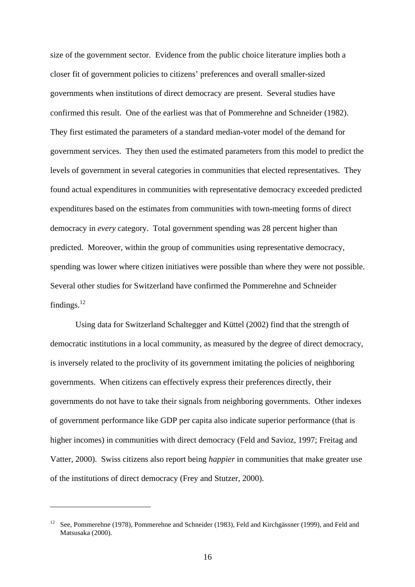size of the government sector. Evidence from the public choice literature implies both a closer fit of government policies to citizens' preferences and overall smaller-sized governments when institutions of direct democracy are present. Several studies have confirmed this result. One of the earliest was that of Pommerehne and Schneider (1982). They first estimated the parameters of a standard median-voter model of the demand for government services. They then used the estimated parameters from this model to predict the levels of government in several categories in communities that elected representatives. They found actual expenditures in communities with representative democracy exceeded predicted expenditures based on the estimates from communities with town-meeting forms of direct democracy in *every* category. Total government spending was 28 percent higher than predicted. Moreover, within the group of communities using representative democracy, spending was lower where citizen initiatives were possible than where they were not possible. Several other studies for Switzerland have confirmed the Pommerehne and Schneider findings.<sup>12</sup>

Using data for Switzerland Schaltegger and Küttel (2002) find that the strength of democratic institutions in a local community, as measured by the degree of direct democracy, is inversely related to the proclivity of its government imitating the policies of neighboring governments. When citizens can effectively express their preferences directly, their governments do not have to take their signals from neighboring governments. Other indexes of government performance like GDP per capita also indicate superior performance (that is higher incomes) in communities with direct democracy (Feld and Savioz, 1997; Freitag and Vatter, 2000). Swiss citizens also report being *happier* in communities that make greater use of the institutions of direct democracy (Frey and Stutzer, 2000).

<sup>&</sup>lt;sup>12</sup> See, Pommerehne (1978), Pommerehne and Schneider (1983), Feld and Kirchgässner (1999), and Feld and Matsusaka (2000).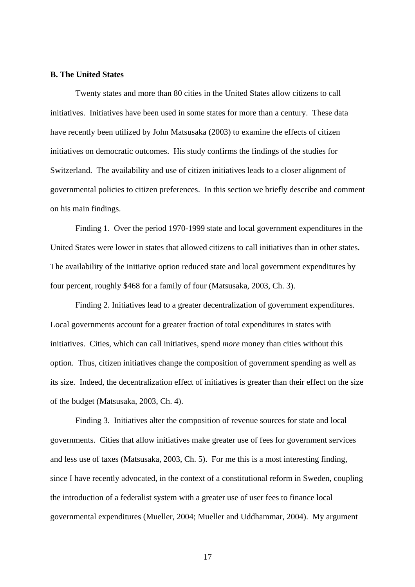#### **B. The United States**

Twenty states and more than 80 cities in the United States allow citizens to call initiatives. Initiatives have been used in some states for more than a century. These data have recently been utilized by John Matsusaka (2003) to examine the effects of citizen initiatives on democratic outcomes. His study confirms the findings of the studies for Switzerland. The availability and use of citizen initiatives leads to a closer alignment of governmental policies to citizen preferences. In this section we briefly describe and comment on his main findings.

Finding 1. Over the period 1970-1999 state and local government expenditures in the United States were lower in states that allowed citizens to call initiatives than in other states. The availability of the initiative option reduced state and local government expenditures by four percent, roughly \$468 for a family of four (Matsusaka, 2003, Ch. 3).

Finding 2. Initiatives lead to a greater decentralization of government expenditures. Local governments account for a greater fraction of total expenditures in states with initiatives. Cities, which can call initiatives, spend *more* money than cities without this option. Thus, citizen initiatives change the composition of government spending as well as its size. Indeed, the decentralization effect of initiatives is greater than their effect on the size of the budget (Matsusaka, 2003, Ch. 4).

Finding 3. Initiatives alter the composition of revenue sources for state and local governments. Cities that allow initiatives make greater use of fees for government services and less use of taxes (Matsusaka, 2003, Ch. 5). For me this is a most interesting finding, since I have recently advocated, in the context of a constitutional reform in Sweden, coupling the introduction of a federalist system with a greater use of user fees to finance local governmental expenditures (Mueller, 2004; Mueller and Uddhammar, 2004). My argument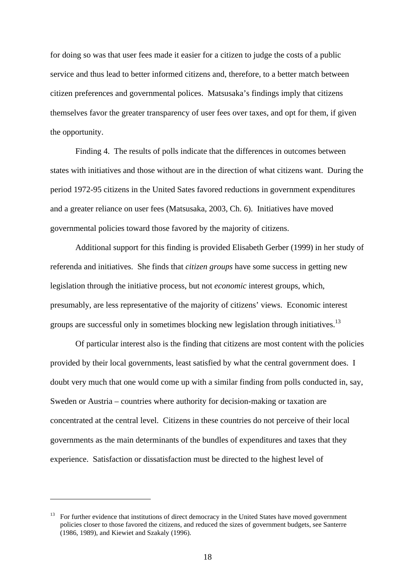for doing so was that user fees made it easier for a citizen to judge the costs of a public service and thus lead to better informed citizens and, therefore, to a better match between citizen preferences and governmental polices. Matsusaka's findings imply that citizens themselves favor the greater transparency of user fees over taxes, and opt for them, if given the opportunity.

Finding 4. The results of polls indicate that the differences in outcomes between states with initiatives and those without are in the direction of what citizens want. During the period 1972-95 citizens in the United Sates favored reductions in government expenditures and a greater reliance on user fees (Matsusaka, 2003, Ch. 6). Initiatives have moved governmental policies toward those favored by the majority of citizens.

Additional support for this finding is provided Elisabeth Gerber (1999) in her study of referenda and initiatives. She finds that *citizen groups* have some success in getting new legislation through the initiative process, but not *economic* interest groups, which, presumably, are less representative of the majority of citizens' views. Economic interest groups are successful only in sometimes blocking new legislation through initiatives.<sup>13</sup>

Of particular interest also is the finding that citizens are most content with the policies provided by their local governments, least satisfied by what the central government does. I doubt very much that one would come up with a similar finding from polls conducted in, say, Sweden or Austria – countries where authority for decision-making or taxation are concentrated at the central level. Citizens in these countries do not perceive of their local governments as the main determinants of the bundles of expenditures and taxes that they experience. Satisfaction or dissatisfaction must be directed to the highest level of

 $13$  For further evidence that institutions of direct democracy in the United States have moved government policies closer to those favored the citizens, and reduced the sizes of government budgets, see Santerre (1986, 1989), and Kiewiet and Szakaly (1996).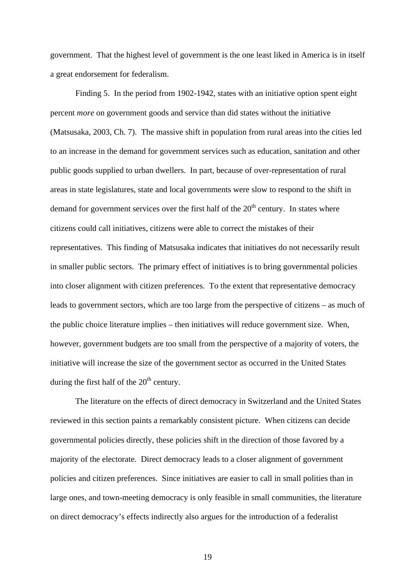government. That the highest level of government is the one least liked in America is in itself a great endorsement for federalism.

Finding 5. In the period from 1902-1942, states with an initiative option spent eight percent *more* on government goods and service than did states without the initiative (Matsusaka, 2003, Ch. 7). The massive shift in population from rural areas into the cities led to an increase in the demand for government services such as education, sanitation and other public goods supplied to urban dwellers. In part, because of over-representation of rural areas in state legislatures, state and local governments were slow to respond to the shift in demand for government services over the first half of the  $20<sup>th</sup>$  century. In states where citizens could call initiatives, citizens were able to correct the mistakes of their representatives. This finding of Matsusaka indicates that initiatives do not necessarily result in smaller public sectors. The primary effect of initiatives is to bring governmental policies into closer alignment with citizen preferences. To the extent that representative democracy leads to government sectors, which are too large from the perspective of citizens – as much of the public choice literature implies – then initiatives will reduce government size. When, however, government budgets are too small from the perspective of a majority of voters, the initiative will increase the size of the government sector as occurred in the United States during the first half of the  $20<sup>th</sup>$  century.

The literature on the effects of direct democracy in Switzerland and the United States reviewed in this section paints a remarkably consistent picture. When citizens can decide governmental policies directly, these policies shift in the direction of those favored by a majority of the electorate. Direct democracy leads to a closer alignment of government policies and citizen preferences. Since initiatives are easier to call in small polities than in large ones, and town-meeting democracy is only feasible in small communities, the literature on direct democracy's effects indirectly also argues for the introduction of a federalist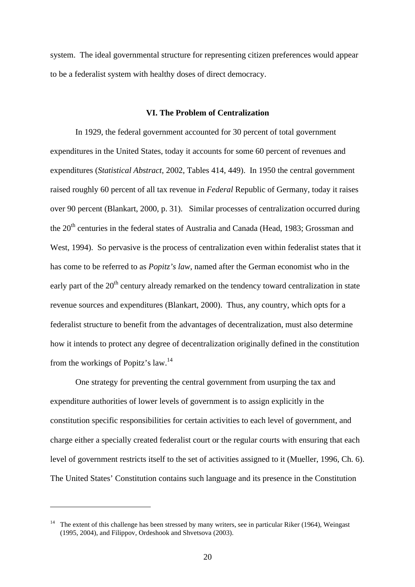system. The ideal governmental structure for representing citizen preferences would appear to be a federalist system with healthy doses of direct democracy.

## **VI. The Problem of Centralization**

In 1929, the federal government accounted for 30 percent of total government expenditures in the United States, today it accounts for some 60 percent of revenues and expenditures (*Statistical Abstract*, 2002, Tables 414, 449). In 1950 the central government raised roughly 60 percent of all tax revenue in *Federal* Republic of Germany, today it raises over 90 percent (Blankart, 2000, p. 31). Similar processes of centralization occurred during the 20<sup>th</sup> centuries in the federal states of Australia and Canada (Head, 1983; Grossman and West, 1994). So pervasive is the process of centralization even within federalist states that it has come to be referred to as *Popitz's law*, named after the German economist who in the early part of the  $20<sup>th</sup>$  century already remarked on the tendency toward centralization in state revenue sources and expenditures (Blankart, 2000). Thus, any country, which opts for a federalist structure to benefit from the advantages of decentralization, must also determine how it intends to protect any degree of decentralization originally defined in the constitution from the workings of Popitz's law.<sup>14</sup>

One strategy for preventing the central government from usurping the tax and expenditure authorities of lower levels of government is to assign explicitly in the constitution specific responsibilities for certain activities to each level of government, and charge either a specially created federalist court or the regular courts with ensuring that each level of government restricts itself to the set of activities assigned to it (Mueller, 1996, Ch. 6). The United States' Constitution contains such language and its presence in the Constitution

<sup>&</sup>lt;sup>14</sup> The extent of this challenge has been stressed by many writers, see in particular Riker (1964), Weingast (1995, 2004), and Filippov, Ordeshook and Shvetsova (2003).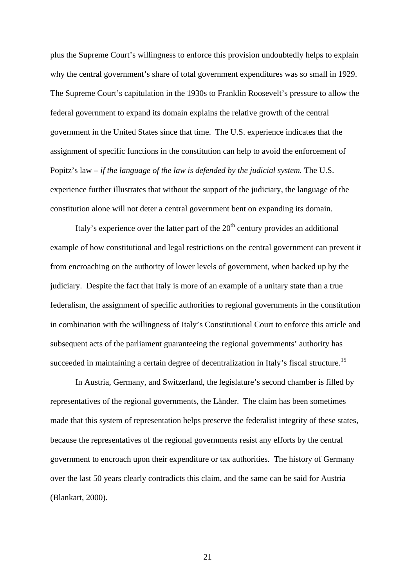plus the Supreme Court's willingness to enforce this provision undoubtedly helps to explain why the central government's share of total government expenditures was so small in 1929. The Supreme Court's capitulation in the 1930s to Franklin Roosevelt's pressure to allow the federal government to expand its domain explains the relative growth of the central government in the United States since that time. The U.S. experience indicates that the assignment of specific functions in the constitution can help to avoid the enforcement of Popitz's law – *if the language of the law is defended by the judicial system.* The U.S. experience further illustrates that without the support of the judiciary, the language of the constitution alone will not deter a central government bent on expanding its domain.

Italy's experience over the latter part of the  $20<sup>th</sup>$  century provides an additional example of how constitutional and legal restrictions on the central government can prevent it from encroaching on the authority of lower levels of government, when backed up by the judiciary. Despite the fact that Italy is more of an example of a unitary state than a true federalism, the assignment of specific authorities to regional governments in the constitution in combination with the willingness of Italy's Constitutional Court to enforce this article and subsequent acts of the parliament guaranteeing the regional governments' authority has succeeded in maintaining a certain degree of decentralization in Italy's fiscal structure.<sup>15</sup>

In Austria, Germany, and Switzerland, the legislature's second chamber is filled by representatives of the regional governments, the Länder. The claim has been sometimes made that this system of representation helps preserve the federalist integrity of these states, because the representatives of the regional governments resist any efforts by the central government to encroach upon their expenditure or tax authorities. The history of Germany over the last 50 years clearly contradicts this claim, and the same can be said for Austria (Blankart, 2000).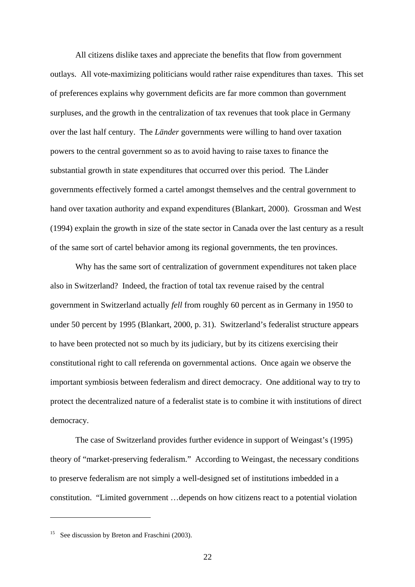All citizens dislike taxes and appreciate the benefits that flow from government outlays. All vote-maximizing politicians would rather raise expenditures than taxes. This set of preferences explains why government deficits are far more common than government surpluses, and the growth in the centralization of tax revenues that took place in Germany over the last half century. The *Länder* governments were willing to hand over taxation powers to the central government so as to avoid having to raise taxes to finance the substantial growth in state expenditures that occurred over this period. The Länder governments effectively formed a cartel amongst themselves and the central government to hand over taxation authority and expand expenditures (Blankart, 2000). Grossman and West (1994) explain the growth in size of the state sector in Canada over the last century as a result of the same sort of cartel behavior among its regional governments, the ten provinces.

Why has the same sort of centralization of government expenditures not taken place also in Switzerland? Indeed, the fraction of total tax revenue raised by the central government in Switzerland actually *fell* from roughly 60 percent as in Germany in 1950 to under 50 percent by 1995 (Blankart, 2000, p. 31). Switzerland's federalist structure appears to have been protected not so much by its judiciary, but by its citizens exercising their constitutional right to call referenda on governmental actions. Once again we observe the important symbiosis between federalism and direct democracy. One additional way to try to protect the decentralized nature of a federalist state is to combine it with institutions of direct democracy.

The case of Switzerland provides further evidence in support of Weingast's (1995) theory of "market-preserving federalism." According to Weingast, the necessary conditions to preserve federalism are not simply a well-designed set of institutions imbedded in a constitution. "Limited government …depends on how citizens react to a potential violation

<sup>&</sup>lt;sup>15</sup> See discussion by Breton and Fraschini (2003).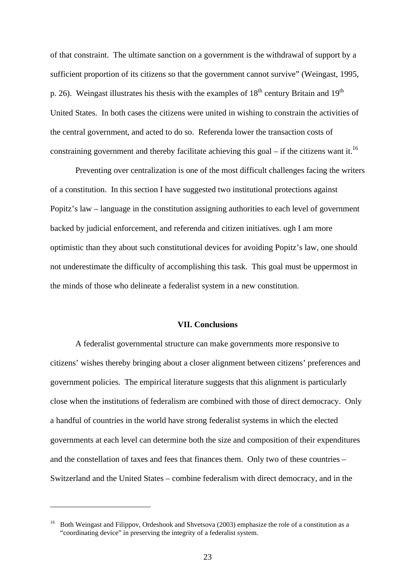of that constraint. The ultimate sanction on a government is the withdrawal of support by a sufficient proportion of its citizens so that the government cannot survive" (Weingast, 1995, p. 26). Weingast illustrates his thesis with the examples of  $18<sup>th</sup>$  century Britain and  $19<sup>th</sup>$ United States. In both cases the citizens were united in wishing to constrain the activities of the central government, and acted to do so. Referenda lower the transaction costs of constraining government and thereby facilitate achieving this goal – if the citizens want it.<sup>16</sup>

Preventing over centralization is one of the most difficult challenges facing the writers of a constitution. In this section I have suggested two institutional protections against Popitz's law – language in the constitution assigning authorities to each level of government backed by judicial enforcement, and referenda and citizen initiatives. ugh I am more optimistic than they about such constitutional devices for avoiding Popitz's law, one should not underestimate the difficulty of accomplishing this task. This goal must be uppermost in the minds of those who delineate a federalist system in a new constitution.

## **VII. Conclusions**

A federalist governmental structure can make governments more responsive to citizens' wishes thereby bringing about a closer alignment between citizens' preferences and government policies. The empirical literature suggests that this alignment is particularly close when the institutions of federalism are combined with those of direct democracy. Only a handful of countries in the world have strong federalist systems in which the elected governments at each level can determine both the size and composition of their expenditures and the constellation of taxes and fees that finances them. Only two of these countries – Switzerland and the United States – combine federalism with direct democracy, and in the

<sup>&</sup>lt;sup>16</sup> Both Weingast and Filippov, Ordeshook and Shvetsova (2003) emphasize the role of a constitution as a "coordinating device" in preserving the integrity of a federalist system.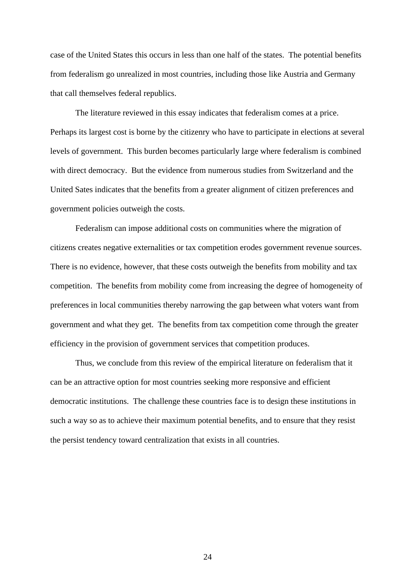case of the United States this occurs in less than one half of the states. The potential benefits from federalism go unrealized in most countries, including those like Austria and Germany that call themselves federal republics.

The literature reviewed in this essay indicates that federalism comes at a price. Perhaps its largest cost is borne by the citizenry who have to participate in elections at several levels of government. This burden becomes particularly large where federalism is combined with direct democracy. But the evidence from numerous studies from Switzerland and the United Sates indicates that the benefits from a greater alignment of citizen preferences and government policies outweigh the costs.

Federalism can impose additional costs on communities where the migration of citizens creates negative externalities or tax competition erodes government revenue sources. There is no evidence, however, that these costs outweigh the benefits from mobility and tax competition. The benefits from mobility come from increasing the degree of homogeneity of preferences in local communities thereby narrowing the gap between what voters want from government and what they get. The benefits from tax competition come through the greater efficiency in the provision of government services that competition produces.

Thus, we conclude from this review of the empirical literature on federalism that it can be an attractive option for most countries seeking more responsive and efficient democratic institutions. The challenge these countries face is to design these institutions in such a way so as to achieve their maximum potential benefits, and to ensure that they resist the persist tendency toward centralization that exists in all countries.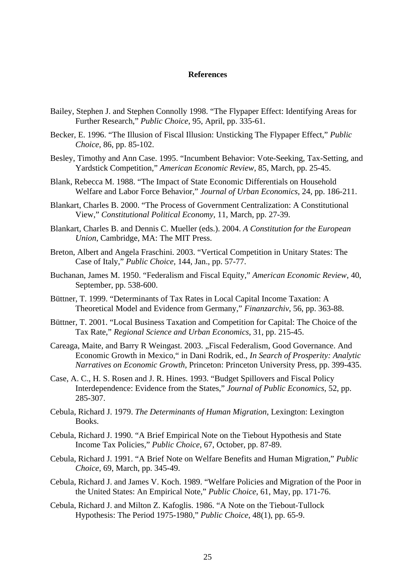#### **References**

- Bailey, Stephen J. and Stephen Connolly 1998. "The Flypaper Effect: Identifying Areas for Further Research," *Public Choice*, 95, April, pp. 335-61.
- Becker, E. 1996. "The Illusion of Fiscal Illusion: Unsticking The Flypaper Effect," *Public Choice*, 86, pp. 85-102.
- Besley, Timothy and Ann Case. 1995. "Incumbent Behavior: Vote-Seeking, Tax-Setting, and Yardstick Competition," *American Economic Review*, 85, March, pp. 25-45.
- Blank, Rebecca M. 1988. "The Impact of State Economic Differentials on Household Welfare and Labor Force Behavior," *Journal of Urban Economics*, 24, pp. 186-211.
- Blankart, Charles B. 2000. "The Process of Government Centralization: A Constitutional View," *Constitutional Political Economy*, 11, March, pp. 27-39.
- Blankart, Charles B. and Dennis C. Mueller (eds.). 2004. *A Constitution for the European Union*, Cambridge, MA: The MIT Press.
- Breton, Albert and Angela Fraschini. 2003. "Vertical Competition in Unitary States: The Case of Italy," *Public Choice*, 144, Jan., pp. 57-77.
- Buchanan, James M. 1950. "Federalism and Fiscal Equity," *American Economic Review*, 40, September, pp. 538-600.
- Büttner, T. 1999. "Determinants of Tax Rates in Local Capital Income Taxation: A Theoretical Model and Evidence from Germany," *Finanzarchiv*, 56, pp. 363-88.
- Büttner, T. 2001. "Local Business Taxation and Competition for Capital: The Choice of the Tax Rate," *Regional Science and Urban Economics*, 31, pp. 215-45.
- Careaga, Maite, and Barry R Weingast. 2003. "Fiscal Federalism, Good Governance. And Economic Growth in Mexico," in Dani Rodrik, ed., *In Search of Prosperity: Analytic Narratives on Economic Growth*, Princeton: Princeton University Press, pp. 399-435.
- Case, A. C., H. S. Rosen and J. R. Hines. 1993. "Budget Spillovers and Fiscal Policy Interdependence: Evidence from the States," *Journal of Public Economics*, 52, pp. 285-307.
- Cebula, Richard J. 1979. *The Determinants of Human Migration*, Lexington: Lexington Books.
- Cebula, Richard J. 1990. "A Brief Empirical Note on the Tiebout Hypothesis and State Income Tax Policies," *Public Choice*, 67, October, pp. 87-89.
- Cebula, Richard J. 1991. "A Brief Note on Welfare Benefits and Human Migration," *Public Choice*, 69, March, pp. 345-49.
- Cebula, Richard J. and James V. Koch. 1989. "Welfare Policies and Migration of the Poor in the United States: An Empirical Note," *Public Choice*, 61, May, pp. 171-76.
- Cebula, Richard J. and Milton Z. Kafoglis. 1986. "A Note on the Tiebout-Tullock Hypothesis: The Period 1975-1980," *Public Choice*, 48(1), pp. 65-9.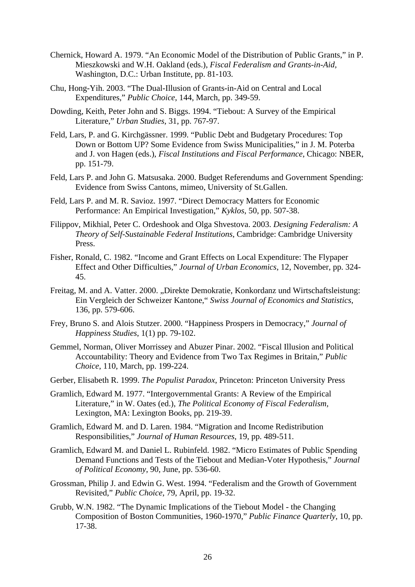- Chernick, Howard A. 1979. "An Economic Model of the Distribution of Public Grants," in P. Mieszkowski and W.H. Oakland (eds.), *Fiscal Federalism and Grants-in-Aid,*  Washington, D.C.: Urban Institute, pp. 81-103.
- Chu, Hong-Yih. 2003. "The Dual-Illusion of Grants-in-Aid on Central and Local Expenditures," *Public Choice*, 144, March, pp. 349-59.
- Dowding, Keith, Peter John and S. Biggs. 1994. "Tiebout: A Survey of the Empirical Literature," *Urban Studies*, 31, pp. 767-97.
- Feld, Lars, P. and G. Kirchgässner. 1999. "Public Debt and Budgetary Procedures: Top Down or Bottom UP? Some Evidence from Swiss Municipalities," in J. M. Poterba and J. von Hagen (eds.), *Fiscal Institutions and Fiscal Performance*, Chicago: NBER, pp. 151-79.
- Feld, Lars P. and John G. Matsusaka. 2000. Budget Referendums and Government Spending: Evidence from Swiss Cantons, mimeo, University of St.Gallen.
- Feld, Lars P. and M. R. Savioz. 1997. "Direct Democracy Matters for Economic Performance: An Empirical Investigation," *Kyklos*, 50, pp. 507-38.
- Filippov, Mikhial, Peter C. Ordeshook and Olga Shvestova. 2003. *Designing Federalism: A Theory of Self-Sustainable Federal Institutions*, Cambridge: Cambridge University Press.
- Fisher, Ronald, C. 1982. "Income and Grant Effects on Local Expenditure: The Flypaper Effect and Other Difficulties," *Journal of Urban Economics*, 12, November, pp. 324- 45.
- Freitag, M. and A. Vatter. 2000. "Direkte Demokratie, Konkordanz und Wirtschaftsleistung: Ein Vergleich der Schweizer Kantone," *Swiss Journal of Economics and Statistics*, 136, pp. 579-606.
- Frey, Bruno S. and Alois Stutzer. 2000. "Happiness Prospers in Democracy," *Journal of Happiness Studies*, 1(1) pp. 79-102.
- Gemmel, Norman, Oliver Morrissey and Abuzer Pinar. 2002. "Fiscal Illusion and Political Accountability: Theory and Evidence from Two Tax Regimes in Britain," *Public Choice*, 110, March, pp. 199-224.
- Gerber, Elisabeth R. 1999. *The Populist Paradox*, Princeton: Princeton University Press
- Gramlich, Edward M. 1977. "Intergovernmental Grants: A Review of the Empirical Literature," in W. Oates (ed.), *The Political Economy of Fiscal Federalism,*  Lexington, MA: Lexington Books, pp. 219-39.
- Gramlich, Edward M. and D. Laren. 1984. "Migration and Income Redistribution Responsibilities," *Journal of Human Resources*, 19, pp. 489-511.
- Gramlich, Edward M. and Daniel L. Rubinfeld. 1982. "Micro Estimates of Public Spending Demand Functions and Tests of the Tiebout and Median-Voter Hypothesis," *Journal of Political Economy*, 90, June, pp. 536-60.
- Grossman, Philip J. and Edwin G. West. 1994. "Federalism and the Growth of Government Revisited," *Public Choice*, 79, April, pp. 19-32.
- Grubb, W.N. 1982. "The Dynamic Implications of the Tiebout Model the Changing Composition of Boston Communities, 1960-1970," *Public Finance Quarterly*, 10, pp. 17-38.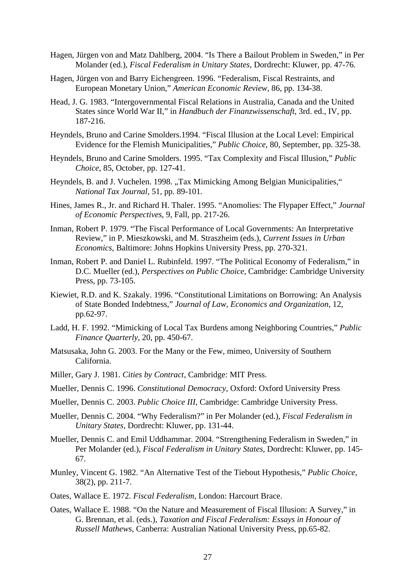- Hagen, Jürgen von and Matz Dahlberg, 2004. "Is There a Bailout Problem in Sweden," in Per Molander (ed.), *Fiscal Federalism in Unitary States*, Dordrecht: Kluwer, pp. 47-76.
- Hagen, Jürgen von and Barry Eichengreen. 1996. "Federalism, Fiscal Restraints, and European Monetary Union," *American Economic Review*, 86, pp. 134-38.
- Head, J. G. 1983. "Intergovernmental Fiscal Relations in Australia, Canada and the United States since World War II," in *Handbuch der Finanzwissenschaft*, 3rd. ed., IV, pp. 187-216.
- Heyndels, Bruno and Carine Smolders.1994. "Fiscal Illusion at the Local Level: Empirical Evidence for the Flemish Municipalities," *Public Choice*, 80, September, pp. 325-38.
- Heyndels, Bruno and Carine Smolders. 1995. "Tax Complexity and Fiscal Illusion," *Public Choice*, 85, October, pp. 127-41.
- Heyndels, B. and J. Vuchelen. 1998. "Tax Mimicking Among Belgian Municipalities," *National Tax Journal*, 51, pp. 89-101.
- Hines, James R., Jr. and Richard H. Thaler. 1995. "Anomolies: The Flypaper Effect," *Journal of Economic Perspectives*, 9, Fall, pp. 217-26.
- Inman, Robert P. 1979. "The Fiscal Performance of Local Governments: An Interpretative Review," in P. Mieszkowski, and M. Straszheim (eds.), *Current Issues in Urban Economics*, Baltimore: Johns Hopkins University Press, pp. 270-321.
- Inman, Robert P. and Daniel L. Rubinfeld. 1997. "The Political Economy of Federalism," in D.C. Mueller (ed.), *Perspectives on Public Choice*, Cambridge: Cambridge University Press, pp. 73-105.
- Kiewiet, R.D. and K. Szakaly. 1996. "Constitutional Limitations on Borrowing: An Analysis of State Bonded Indebtness," *Journal of Law, Economics and Organization*, 12, pp.62-97.
- Ladd, H. F. 1992. "Mimicking of Local Tax Burdens among Neighboring Countries," *Public Finance Quarterly*, 20, pp. 450-67.
- Matsusaka, John G. 2003. For the Many or the Few, mimeo*,* University of Southern California.
- Miller, Gary J. 1981. *Cities by Contract*, Cambridge: MIT Press.
- Mueller, Dennis C. 1996. *Constitutional Democracy*, Oxford: Oxford University Press
- Mueller, Dennis C. 2003. *Public Choice III*, Cambridge: Cambridge University Press.
- Mueller, Dennis C. 2004. "Why Federalism?" in Per Molander (ed.), *Fiscal Federalism in Unitary States*, Dordrecht: Kluwer, pp. 131-44.
- Mueller, Dennis C. and Emil Uddhammar. 2004. "Strengthening Federalism in Sweden," in Per Molander (ed.), *Fiscal Federalism in Unitary States*, Dordrecht: Kluwer, pp. 145- 67.
- Munley, Vincent G. 1982. "An Alternative Test of the Tiebout Hypothesis," *Public Choice*, 38(2), pp. 211-7.
- Oates, Wallace E. 1972. *Fiscal Federalism,* London: Harcourt Brace.
- Oates, Wallace E. 1988. "On the Nature and Measurement of Fiscal Illusion: A Survey," in G. Brennan, et al. (eds.), *Taxation and Fiscal Federalism: Essays in Honour of Russell Mathews*, Canberra: Australian National University Press, pp.65-82.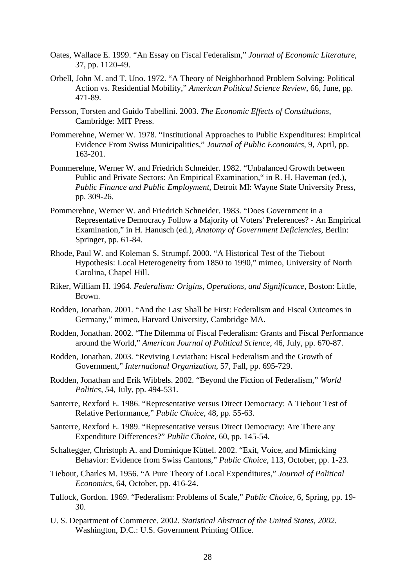- Oates, Wallace E. 1999. "An Essay on Fiscal Federalism," *Journal of Economic Literature*, 37, pp. 1120-49.
- Orbell, John M. and T. Uno. 1972. "A Theory of Neighborhood Problem Solving: Political Action vs. Residential Mobility," *American Political Science Review*, 66, June, pp. 471-89.
- Persson, Torsten and Guido Tabellini. 2003. *The Economic Effects of Constitutions*, Cambridge: MIT Press.
- Pommerehne, Werner W. 1978. "Institutional Approaches to Public Expenditures: Empirical Evidence From Swiss Municipalities," *Journal of Public Economics*, 9, April, pp. 163-201.
- Pommerehne, Werner W. and Friedrich Schneider. 1982. "Unbalanced Growth between Public and Private Sectors: An Empirical Examination," in R. H. Haveman (ed.), *Public Finance and Public Employment*, Detroit MI: Wayne State University Press, pp. 309-26.
- Pommerehne, Werner W. and Friedrich Schneider. 1983. "Does Government in a Representative Democracy Follow a Majority of Voters' Preferences? - An Empirical Examination," in H. Hanusch (ed.), *Anatomy of Government Deficiencies*, Berlin: Springer, pp. 61-84.
- Rhode, Paul W. and Koleman S. Strumpf. 2000. "A Historical Test of the Tiebout Hypothesis: Local Heterogeneity from 1850 to 1990," mimeo, University of North Carolina, Chapel Hill.
- Riker, William H. 1964. *Federalism: Origins, Operations, and Significance*, Boston: Little, Brown.
- Rodden, Jonathan. 2001. "And the Last Shall be First: Federalism and Fiscal Outcomes in Germany," mimeo, Harvard University, Cambridge MA.
- Rodden, Jonathan. 2002. "The Dilemma of Fiscal Federalism: Grants and Fiscal Performance around the World," *American Journal of Political Science*, 46, July, pp. 670-87.
- Rodden, Jonathan. 2003. "Reviving Leviathan: Fiscal Federalism and the Growth of Government," *International Organization*, 57, Fall, pp. 695-729.
- Rodden, Jonathan and Erik Wibbels. 2002. "Beyond the Fiction of Federalism," *World Politics, 5*4, July, pp. 494-531.
- Santerre, Rexford E. 1986. "Representative versus Direct Democracy: A Tiebout Test of Relative Performance," *Public Choice*, 48, pp. 55-63.
- Santerre, Rexford E. 1989. "Representative versus Direct Democracy: Are There any Expenditure Differences?" *Public Choice*, 60, pp. 145-54.
- Schaltegger, Christoph A. and Dominique Küttel. 2002. "Exit, Voice, and Mimicking Behavior: Evidence from Swiss Cantons," *Public Choice*, 113, October, pp. 1-23.
- Tiebout, Charles M. 1956. "A Pure Theory of Local Expenditures," *Journal of Political Economics*, 64, October, pp. 416-24.
- Tullock, Gordon. 1969. "Federalism: Problems of Scale," *Public Choice*, 6, Spring, pp. 19- 30.
- U. S. Department of Commerce. 2002. *Statistical Abstract of the United States, 2002*. Washington, D.C.: U.S. Government Printing Office.